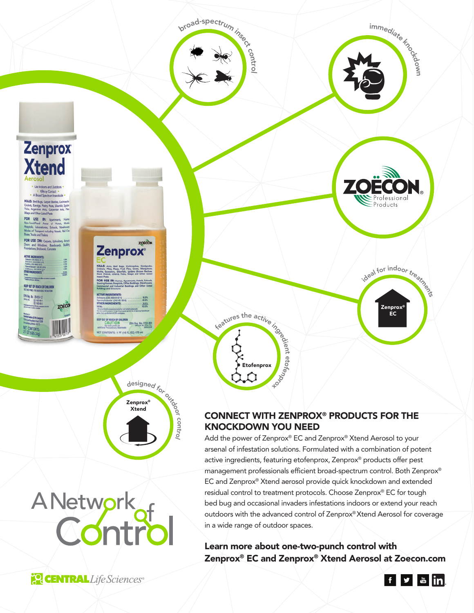

# A Network<br>Control

active ingredients, featuring etofenprox, Zenprox® products offer pest management professionals efficient broad-spectrum control. Both Zenprox® EC and Zenprox® Xtend aerosol provide quick knockdown and extended residual control to treatment protocols. Choose Zenprox® EC for tough bed bug and occasional invaders infestations indoors or extend your reach outdoors with the advanced control of Zenprox® Xtend Aerosol for coverage in a wide range of outdoor spaces.

Learn more about one-two-punch control with Zenprox® EC and Zenprox® Xtend Aerosol at Zoecon.com

**PO CENTRAL** Life Sciences®

## f y din